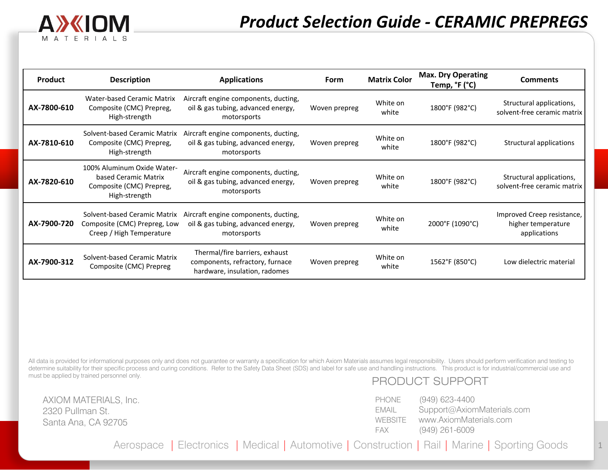

| <b>Product</b> | <b>Description</b>                                                                              | <b>Applications</b>                                                                                | <b>Form</b>   | <b>Matrix Color</b> | <b>Max. Dry Operating</b><br>Temp, °F (°C) | <b>Comments</b>                                                  |
|----------------|-------------------------------------------------------------------------------------------------|----------------------------------------------------------------------------------------------------|---------------|---------------------|--------------------------------------------|------------------------------------------------------------------|
| AX-7800-610    | <b>Water-based Ceramic Matrix</b><br>Composite (CMC) Prepreg,<br>High-strength                  | Aircraft engine components, ducting,<br>oil & gas tubing, advanced energy,<br>motorsports          | Woven prepreg | White on<br>white   | 1800°F (982°C)                             | Structural applications,<br>solvent-free ceramic matrix I        |
| AX-7810-610    | Solvent-based Ceramic Matrix<br>Composite (CMC) Prepreg,<br>High-strength                       | Aircraft engine components, ducting,<br>oil & gas tubing, advanced energy,<br>motorsports          | Woven prepreg | White on<br>white   | 1800°F (982°C)                             | <b>Structural applications</b>                                   |
| AX-7820-610    | 100% Aluminum Oxide Water-<br>based Ceramic Matrix<br>Composite (CMC) Prepreg,<br>High-strength | Aircraft engine components, ducting,<br>oil & gas tubing, advanced energy,<br>motorsports          | Woven prepreg | White on<br>white   | 1800°F (982°C)                             | Structural applications,<br>solvent-free ceramic matrix I        |
| AX-7900-720    | Solvent-based Ceramic Matrix<br>Composite (CMC) Prepreg, Low<br>Creep / High Temperature        | Aircraft engine components, ducting,<br>oil & gas tubing, advanced energy,<br>motorsports          | Woven prepreg | White on<br>white   | 2000°F (1090°C)                            | Improved Creep resistance,<br>higher temperature<br>applications |
| AX-7900-312    | Solvent-based Ceramic Matrix<br>Composite (CMC) Prepreg                                         | Thermal/fire barriers, exhaust<br>components, refractory, furnace<br>hardware, insulation, radomes | Woven prepreg | White on<br>white   | 1562°F (850°C)                             | Low dielectric material                                          |

All data is provided for informational purposes only and does not guarantee or warranty a specification for which Axiom Materials assumes legal responsibility. Users should perform verification and testing to determine suitability for their specific process and curing conditions. Refer to the Safety Data Sheet (SDS) and label for safe use and handling instructions. This product is for industrial/commercial use and must be applied by trained personnel only.

AXIOM MATERIALS, Inc. 2320 Pullman St. Santa Ana, CA 92705

#### PRODUCT SUPPORT

| <b>PHONE</b>   | $(949)$ 623-4400           |
|----------------|----------------------------|
| EMAIL          | Support@AxiomMaterials.com |
| <b>WFBSITF</b> | www.AxiomMaterials.com     |
| FAX            | $(949)$ 261-6009           |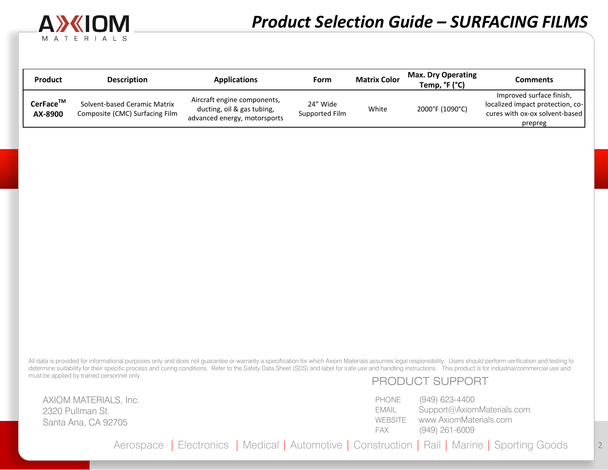

| <b>Product</b>      | <b>Description</b>                                             | <b>Applications</b>                                                                       | Form                       | <b>Matrix Color</b> | <b>Max. Dry Operating</b><br>Temp, °F (°C) | Comments                                                                                                  |
|---------------------|----------------------------------------------------------------|-------------------------------------------------------------------------------------------|----------------------------|---------------------|--------------------------------------------|-----------------------------------------------------------------------------------------------------------|
| CerFace™<br>AX-8900 | Solvent-based Ceramic Matrix<br>Composite (CMC) Surfacing Film | Aircraft engine components,<br>ducting, oil & gas tubing,<br>advanced energy, motorsports | 24" Wide<br>Supported Film | White               | 2000°F (1090°C)                            | Improved surface finish,<br>localized impact protection, co-<br>cures with ox-ox solvent-based<br>prepreg |

All data is provided for informational purposes only and does not guarantee or warranty a specification for which Axiom Materials assumes legal responsibility. Users should perform verification and testing to determine suitability for their specific process and curing conditions. Refer to the Safety Data Sheet (SDS) and label for safe use and handling instructions. This product is for industrial/commercial use and must be applied by trained personnel only.

PRODUCT SUPPORT

AXIOM MATERIALS, Inc. 2320 Pullman St. Santa Ana, CA 92705

PHONE (949) 623-4400 EMAIL Support@AxiomMaterials.com WEBSITE www.AxiomMaterials.com FAX (949) 261-6009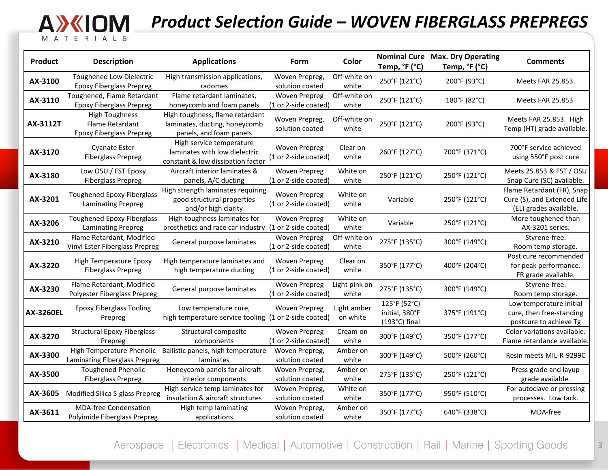## *Product Selection Guide – WOVEN FIBERGLASS PREPREGS*

| <b>Product</b>   | <b>Description</b>                                                          | <b>Applications</b>                                                                            | <b>Form</b>                                  | Color                   | Temp, °F (°C)                                   | <b>Nominal Cure Max. Dry Operating</b><br>Temp, °F (°C) | <b>Comments</b>                                                                     |
|------------------|-----------------------------------------------------------------------------|------------------------------------------------------------------------------------------------|----------------------------------------------|-------------------------|-------------------------------------------------|---------------------------------------------------------|-------------------------------------------------------------------------------------|
| AX-3100          | <b>Toughened Low Dielectric</b><br><b>Epoxy Fiberglass Prepreg</b>          | High transmission applications,<br>radomes                                                     | Woven Prepreg,<br>solution coated            | Off-white on<br>white   | 250°F (121°C)                                   | 200°F (93°C)                                            | Meets FAR 25.853.                                                                   |
| AX-3110          | Toughened, Flame Retardant<br><b>Epoxy Fiberglass Prepreg</b>               | Flame retardant laminates,<br>honeycomb and foam panels                                        | <b>Woven Prepreg</b><br>(1 or 2-side coated) | Off-white on<br>white   | 250°F (121°C)                                   | 180°F (82°C)                                            | Meets FAR 25.853.                                                                   |
| <b>AX-3112T</b>  | <b>High Toughness</b><br>Flame Retardant<br><b>Epoxy Fiberglass Prepreg</b> | High toughness, flame retardant<br>laminates, ducting, honeycomb<br>panels, and foam panels    | Woven Prepreg,<br>solution coated            | Off-white on<br>white   | 250°F (121°C)                                   | 200°F (93°C)                                            | Meets FAR 25.853. High<br>Temp (HT) grade available.                                |
| AX-3170          | <b>Cyanate Ester</b><br><b>Fiberglass Prepreg</b>                           | High service temperature<br>laminates with low dielectric<br>constant & low dissipation factor | <b>Woven Prepreg</b><br>(1 or 2-side coated) | Clear on<br>white       | 260°F (127°C)                                   | 700°F (371°C)                                           | 700°F service achieved<br>using 550°F post cure                                     |
| AX-3180          | Low OSU / FST Epoxy<br><b>Fiberglass Prepreg</b>                            | Aircraft interior laminates &<br>panels, A/C ducting                                           | <b>Woven Prepreg</b><br>(1 or 2-side coated) | White on<br>white       | 250°F (121°C)                                   | 250°F (121°C)                                           | Meets 25.853 & FST / OSU<br>Snap Cure (SC) available.                               |
| AX-3201          | <b>Toughened Epoxy Fiberglass</b><br><b>Laminating Prepreg</b>              | High strength laminates requiring<br>good structural properties<br>and/or high clarity         | <b>Woven Prepreg</b><br>(1 or 2-side coated) | White on<br>white       | Variable                                        | 250°F (121°C)                                           | Flame Retardant (FR), Snap<br>Cure (S), and Extended Life<br>(EL) grades available. |
| AX-3206          | <b>Toughened Epoxy Fiberglass</b><br><b>Laminating Prepreg</b>              | High toughness laminates for<br>prosthetics and race car industry                              | <b>Woven Prepreg</b><br>(1 or 2-side coated) | White on<br>white       | Variable                                        | 250°F (121°C)                                           | More toughened than<br>AX-3201 series.                                              |
| AX-3210          | Flame Retardant, Modified<br>Vinyl Ester Fiberglass Prepreg                 | General purpose laminates                                                                      | <b>Woven Prepreg</b><br>(1 or 2-side coated) | Off-white on<br>white   | 275°F (135°C)                                   | 300°F (149°C)                                           | Styrene-free.<br>Room temp storage.                                                 |
| AX-3220          | High Temperature Epoxy<br><b>Fiberglass Prepreg</b>                         | High temperature laminates and<br>high temperature ducting                                     | <b>Woven Prepreg</b><br>(1 or 2-side coated) | Clear on<br>white       | 350°F (177°C)                                   | 400°F (204°C)                                           | Post cure recommended<br>for peak performance.<br>FR grade available.               |
| AX-3230          | Flame Retardant, Modified<br>Polyester Fiberglass Prepreg                   | General purpose laminates                                                                      | <b>Woven Prepreg</b><br>(1 or 2-side coated) | Light pink on<br>white  | 275°F (135°C)                                   | 300°F (149°C)                                           | Styrene-free.<br>Room temp storage.                                                 |
| <b>AX-3260EL</b> | <b>Epoxy Fiberglass Tooling</b><br>Prepreg                                  | Low temperature cure,<br>high temperature service tooling (1 or 2-side coated)                 | <b>Woven Prepreg</b>                         | Light amber<br>on white | 125°F (52°C)<br>initial, 380°F<br>(193°C) final | 375°F (191°C)                                           | Low temperature initial<br>cure, then free-standing<br>postcure to achieve Tg       |
| AX-3270          | <b>Structural Epoxy Fiberglass</b><br>Prepreg                               | Structural composite<br>components                                                             | <b>Woven Prepreg</b><br>(1 or 2-side coated) | Cream on<br>white       | 300°F (149°C)                                   | 350°F (177°C)                                           | Color variations available.<br>Flame retardance available.                          |
| AX-3300          | High Temperature Phenolic<br>Laminating Fiberglass Prepreg                  | Ballistic panels, high temperature<br>laminates                                                | Woven Prepreg,<br>solution coated            | Amber on<br>white       | 300°F (149°C)                                   | 500°F (260°C)                                           | Resin meets MIL-R-9299C                                                             |
| AX-3500          | <b>Toughened Phenolic</b><br><b>Fiberglass Prepreg</b>                      | Honeycomb panels for aircraft<br>interior components                                           | Woven Prepreg,<br>solution coated            | Amber on<br>white       | 275°F (135°C)                                   | 250°F (121°C)                                           | Press grade and layup<br>grade available.                                           |
|                  | AX-3605 Modified Silica S-glass Prepreg                                     | High service temp laminates for<br>insulation & aircraft structures                            | Woven Prepreg,<br>solution coated            | White on<br>white       | 350°F (177°C)                                   | 950°F (510°C)                                           | For autoclave or pressing<br>processes. Low tack.                                   |
| AX-3611          | <b>MDA-free Condensation</b><br>Polyimide Fiberglass Prepreg                | High temp laminating<br>applications                                                           | Woven Prepreg,<br>solution coated            | Amber on<br>white       | 350°F (177°C)                                   | 640°F (338°C)                                           | MDA-free                                                                            |

**NC** 

MATERIALS

Δ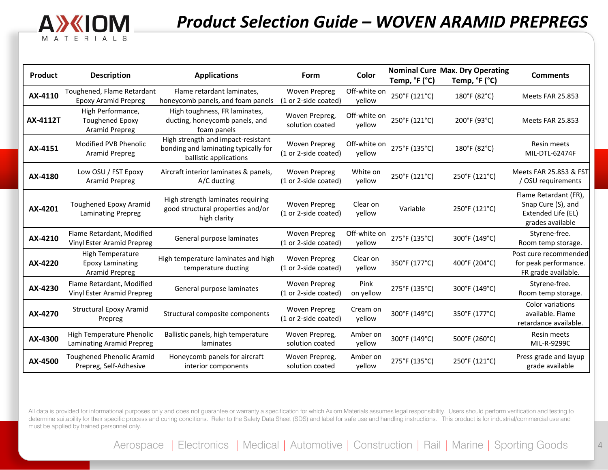

### *Product Selection Guide – WOVEN ARAMID PREPREGS*

| Product  | <b>Description</b>                                                   | <b>Applications</b>                                                                                  | <b>Form</b>                                  | Color                  | Temp, °F (°C) | <b>Nominal Cure Max. Dry Operating</b><br>Temp, °F (°C) | <b>Comments</b>                                                                       |
|----------|----------------------------------------------------------------------|------------------------------------------------------------------------------------------------------|----------------------------------------------|------------------------|---------------|---------------------------------------------------------|---------------------------------------------------------------------------------------|
| AX-4110  | Toughened, Flame Retardant<br><b>Epoxy Aramid Prepreg</b>            | Flame retardant laminates,<br>honeycomb panels, and foam panels                                      | <b>Woven Prepreg</b><br>(1 or 2-side coated) | Off-white on<br>yellow | 250°F (121°C) | 180°F (82°C)                                            | <b>Meets FAR 25.853</b>                                                               |
| AX-4112T | High Performance,<br><b>Toughened Epoxy</b><br><b>Aramid Prepreg</b> | High toughness, FR laminates,<br>ducting, honeycomb panels, and<br>foam panels                       | Woven Prepreg,<br>solution coated            | Off-white on<br>yellow | 250°F (121°C) | 200°F (93°C)                                            | <b>Meets FAR 25.853</b>                                                               |
| AX-4151  | Modified PVB Phenolic<br><b>Aramid Prepreg</b>                       | High strength and impact-resistant<br>bonding and laminating typically for<br>ballistic applications | <b>Woven Prepreg</b><br>(1 or 2-side coated) | Off-white on<br>vellow | 275°F (135°C) | 180°F (82°C)                                            | Resin meets<br>MIL-DTL-62474F                                                         |
| AX-4180  | Low OSU / FST Epoxy<br><b>Aramid Prepreg</b>                         | Aircraft interior laminates & panels,<br>A/C ducting                                                 | <b>Woven Prepreg</b><br>(1 or 2-side coated) | White on<br>vellow     | 250°F (121°C) | 250°F (121°C)                                           | Meets FAR 25.853 & FST<br>/ OSU requirements                                          |
| AX-4201  | <b>Toughened Epoxy Aramid</b><br><b>Laminating Prepreg</b>           | High strength laminates requiring<br>good structural properties and/or<br>high clarity               | <b>Woven Prepreg</b><br>(1 or 2-side coated) | Clear on<br>yellow     | Variable      | 250°F (121°C)                                           | Flame Retardant (FR),<br>Snap Cure (S), and<br>Extended Life (EL)<br>grades available |
| AX-4210  | Flame Retardant, Modified<br>Vinyl Ester Aramid Prepreg              | General purpose laminates                                                                            | <b>Woven Prepreg</b><br>(1 or 2-side coated) | Off-white on<br>yellow | 275°F (135°C) | 300°F (149°C)                                           | Styrene-free.<br>Room temp storage.                                                   |
| AX-4220  | High Temperature<br><b>Epoxy Laminating</b><br><b>Aramid Prepreg</b> | High temperature laminates and high<br>temperature ducting                                           | <b>Woven Prepreg</b><br>(1 or 2-side coated) | Clear on<br>yellow     | 350°F (177°C) | 400°F (204°C)                                           | Post cure recommended<br>for peak performance.<br>FR grade available.                 |
| AX-4230  | Flame Retardant, Modified<br>Vinyl Ester Aramid Prepreg              | General purpose laminates                                                                            | <b>Woven Prepreg</b><br>(1 or 2-side coated) | Pink<br>on yellow      | 275°F (135°C) | 300°F (149°C)                                           | Styrene-free.<br>Room temp storage.                                                   |
| AX-4270  | <b>Structural Epoxy Aramid</b><br>Prepreg                            | Structural composite components                                                                      | <b>Woven Prepreg</b><br>(1 or 2-side coated) | Cream on<br>yellow     | 300°F (149°C) | 350°F (177°C)                                           | Color variations<br>available. Flame<br>retardance available.                         |
| AX-4300  | High Temperature Phenolic<br>Laminating Aramid Prepreg               | Ballistic panels, high temperature<br>laminates                                                      | Woven Prepreg,<br>solution coated            | Amber on<br>yellow     | 300°F (149°C) | 500°F (260°C)                                           | Resin meets<br>MIL-R-9299C                                                            |
| AX-4500  | <b>Toughened Phenolic Aramid</b><br>Prepreg, Self-Adhesive           | Honeycomb panels for aircraft<br>interior components                                                 | Woven Prepreg,<br>solution coated            | Amber on<br>yellow     | 275°F (135°C) | 250°F (121°C)                                           | Press grade and layup<br>grade available                                              |

All data is provided for informational purposes only and does not guarantee or warranty a specification for which Axiom Materials assumes legal responsibility. Users should perform verification and testing to determine suitability for their specific process and curing conditions. Refer to the Safety Data Sheet (SDS) and label for safe use and handling instructions. This product is for industrial/commercial use and must be applied by trained personnel only.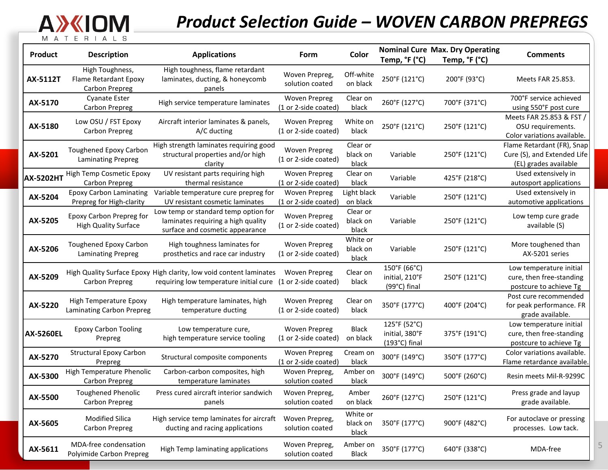# *Product Selection Guide – WOVEN CARBON PREPREGS*

| Product          | <b>Description</b>                                         | <b>Applications</b>                                                                                                                | Form                                         | Color                         | Temp, °F (°C)                                            | <b>Nominal Cure Max. Dry Operating</b><br>Temp, °F (°C) | <b>Comments</b>                                                                    |
|------------------|------------------------------------------------------------|------------------------------------------------------------------------------------------------------------------------------------|----------------------------------------------|-------------------------------|----------------------------------------------------------|---------------------------------------------------------|------------------------------------------------------------------------------------|
| <b>AX-5112T</b>  | High Toughness,<br>Flame Retardant Epoxy<br>Carbon Prepreg | High toughness, flame retardant<br>laminates, ducting, & honeycomb<br>panels                                                       | Woven Prepreg,<br>solution coated            | Off-white<br>on black         | 250°F (121°C)                                            | 200°F (93°C)                                            | Meets FAR 25.853.                                                                  |
| AX-5170          | <b>Cyanate Ester</b><br>Carbon Prepreg                     | High service temperature laminates                                                                                                 | <b>Woven Prepreg</b><br>(1 or 2-side coated) | Clear on<br>black             | 260°F (127°C)                                            | 700°F (371°C)                                           | 700°F service achieved<br>using 550°F post cure                                    |
| AX-5180          | Low OSU / FST Epoxy<br><b>Carbon Prepreg</b>               | Aircraft interior laminates & panels,<br>A/C ducting                                                                               | <b>Woven Prepreg</b><br>(1 or 2-side coated) | White on<br>black             | 250°F (121°C)                                            | 250°F (121°C)                                           | Meets FAR 25.853 & FST /<br>OSU requirements.<br>Color variations available.       |
| AX-5201          | <b>Toughened Epoxy Carbon</b><br><b>Laminating Prepreg</b> | High strength laminates requiring good<br>structural properties and/or high<br>clarity                                             | <b>Woven Prepreg</b><br>(1 or 2-side coated) | Clear or<br>black on<br>black | Variable                                                 | 250°F (121°C)                                           | Flame Retardant (FR), Snap<br>Cure (S), and Extended Life<br>(EL) grades available |
| <b>AX-5202HT</b> | High Temp Cosmetic Epoxy<br><b>Carbon Prepreg</b>          | UV resistant parts requiring high<br>thermal resistance                                                                            | <b>Woven Prepreg</b><br>(1 or 2-side coated) | Clear on<br>black             | Variable                                                 | 425°F (218°C)                                           | Used extensively in<br>autosport applications                                      |
| AX-5204          | <b>Epoxy Carbon Laminating</b><br>Prepreg for High-clarity | Variable temperature cure prepreg for<br>UV resistant cosmetic laminates                                                           | <b>Woven Prepreg</b><br>(1 or 2-side coated) | Light black<br>on black       | Variable                                                 | 250°F (121°C)                                           | Used extensively in<br>automotive applications                                     |
| AX-5205          | Epoxy Carbon Prepreg for<br><b>High Quality Surface</b>    | Low temp or standard temp option for<br>laminates requiring a high quality<br>surface and cosmetic appearance                      | <b>Woven Prepreg</b><br>(1 or 2-side coated) | Clear or<br>black on<br>black | Variable                                                 | 250°F (121°C)                                           | Low temp cure grade<br>available (S)                                               |
| AX-5206          | <b>Toughened Epoxy Carbon</b><br><b>Laminating Prepreg</b> | High toughness laminates for<br>prosthetics and race car industry                                                                  | <b>Woven Prepreg</b><br>(1 or 2-side coated) | White or<br>black on<br>black | Variable                                                 | 250°F (121°C)                                           | More toughened than<br>AX-5201 series                                              |
| AX-5209          | <b>Carbon Prepreg</b>                                      | High Quality Surface Epoxy High clarity, low void content laminates<br>requiring low temperature initial cure (1 or 2-side coated) | <b>Woven Prepreg</b>                         | Clear on<br>black             | 150°F (66°C)<br>initial, 210°F<br>(99°C) final           | 250°F (121°C)                                           | Low temperature initial<br>cure, then free-standing<br>postcure to achieve Tg      |
| AX-5220          | High Temperature Epoxy<br>Laminating Carbon Prepreg        | High temperature laminates, high<br>temperature ducting                                                                            | <b>Woven Prepreg</b><br>(1 or 2-side coated) | Clear on<br>black             | 350°F (177°C)                                            | 400°F (204°C)                                           | Post cure recommended<br>for peak performance. FR<br>grade available.              |
| <b>AX-5260EL</b> | <b>Epoxy Carbon Tooling</b><br>Prepreg                     | Low temperature cure,<br>high temperature service tooling                                                                          | <b>Woven Prepreg</b><br>(1 or 2-side coated) | <b>Black</b><br>on black      | 125°F (52°C)<br>initial, 380°F<br>$(193^{\circ}C)$ final | 375°F (191°C)                                           | Low temperature initial<br>cure, then free-standing<br>postcure to achieve Tg      |
| AX-5270          | <b>Structural Epoxy Carbon</b><br>Prepreg                  | Structural composite components                                                                                                    | <b>Woven Prepreg</b><br>(1 or 2-side coated) | Cream on<br>black             | 300°F (149°C)                                            | 350°F (177°C)                                           | Color variations available.<br>Flame retardance available                          |
| AX-5300          | High Temperature Phenolic<br>Carbon Prepreg                | Carbon-carbon composites, high<br>temperature laminates                                                                            | Woven Prepreg,<br>solution coated            | Amber on<br>black             | 300°F (149°C)                                            | 500°F (260°C)                                           | Resin meets Mil-R-9299C                                                            |
| AX-5500          | <b>Toughened Phenolic</b><br><b>Carbon Prepreg</b>         | Press cured aircraft interior sandwich<br>panels                                                                                   | Woven Prepreg,<br>solution coated            | Amber<br>on black             | 260°F (127°C)                                            | 250°F (121°C)                                           | Press grade and layup<br>grade available.                                          |
| AX-5605          | <b>Modified Silica</b><br><b>Carbon Prepreg</b>            | High service temp laminates for aircraft<br>ducting and racing applications                                                        | Woven Prepreg,<br>solution coated            | White or<br>black on<br>black | 350°F (177°C)                                            | 900°F (482°C)                                           | For autoclave or pressing<br>processes. Low tack.                                  |
| AX-5611          | MDA-free condensation<br>Polyimide Carbon Prepreg          | High Temp laminating applications                                                                                                  | Woven Prepreg,<br>solution coated            | Amber on<br>Black             | 350°F (177°C)                                            | 640°F (338°C)                                           | MDA-free                                                                           |

**AXXIOM**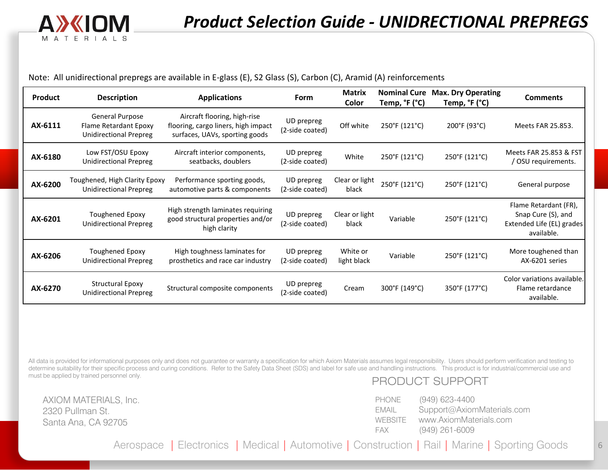

Note: All unidirectional prepregs are available in E-glass (E), S2 Glass (S), Carbon (C), Aramid (A) reinforcements

| Product | <b>Description</b>                                                        | <b>Applications</b>                                                                                   | <b>Form</b>                   | <b>Matrix</b><br><b>Color</b> | <b>Nominal Cure</b><br>Temp, °F (°C) | <b>Max. Dry Operating</b><br>Temp, °F (°C) | <b>Comments</b>                                                                        |
|---------|---------------------------------------------------------------------------|-------------------------------------------------------------------------------------------------------|-------------------------------|-------------------------------|--------------------------------------|--------------------------------------------|----------------------------------------------------------------------------------------|
| AX-6111 | General Purpose<br>Flame Retardant Epoxy<br><b>Unidirectional Prepreg</b> | Aircraft flooring, high-rise<br>flooring, cargo liners, high impact<br>surfaces, UAVs, sporting goods | UD prepreg<br>(2-side coated) | Off white                     | 250°F (121°C)                        | 200°F (93°C)                               | Meets FAR 25.853.                                                                      |
| AX-6180 | Low FST/OSU Epoxy<br><b>Unidirectional Prepreg</b>                        | Aircraft interior components,<br>seatbacks, doublers                                                  | UD prepreg<br>(2-side coated) | White                         | 250°F (121°C)                        | 250°F (121°C)                              | Meets FAR 25.853 & FST<br>/ OSU requirements.                                          |
| AX-6200 | Toughened, High Clarity Epoxy<br><b>Unidirectional Prepreg</b>            | Performance sporting goods,<br>automotive parts & components                                          | UD prepreg<br>(2-side coated) | Clear or light<br>black       | 250°F (121°C)                        | 250°F (121°C)                              | General purpose                                                                        |
| AX-6201 | <b>Toughened Epoxy</b><br><b>Unidirectional Prepreg</b>                   | High strength laminates requiring<br>good structural properties and/or<br>high clarity                | UD prepreg<br>(2-side coated) | Clear or light<br>black       | Variable                             | 250°F (121°C)                              | Flame Retardant (FR),<br>Snap Cure (S), and<br>Extended Life (EL) grades<br>available. |
| AX-6206 | <b>Toughened Epoxy</b><br><b>Unidirectional Prepreg</b>                   | High toughness laminates for<br>prosthetics and race car industry                                     | UD prepreg<br>(2-side coated) | White or<br>light black       | Variable                             | 250°F (121°C)                              | More toughened than<br>AX-6201 series                                                  |
| AX-6270 | <b>Structural Epoxy</b><br><b>Unidirectional Prepreg</b>                  | Structural composite components                                                                       | UD prepreg<br>(2-side coated) | Cream                         | 300°F (149°C)                        | 350°F (177°C)                              | Color variations available.<br>Flame retardance<br>available.                          |

All data is provided for informational purposes only and does not guarantee or warranty a specification for which Axiom Materials assumes legal responsibility. Users should perform verification and testing to determine suitability for their specific process and curing conditions. Refer to the Safety Data Sheet (SDS) and label for safe use and handling instructions. This product is for industrial/commercial use and must be applied by trained personnel only.

AXIOM MATERIALS, Inc. 2320 Pullman St. Santa Ana, CA 92705

### PRODUCT SUPPORT

| <b>PHONE</b>   | (949) 623-4400             |
|----------------|----------------------------|
| EMAIL          | Support@AxiomMaterials.com |
| <b>WFBSITF</b> | www.AxiomMaterials.com     |
| FAX            | $(949)$ 261-6009           |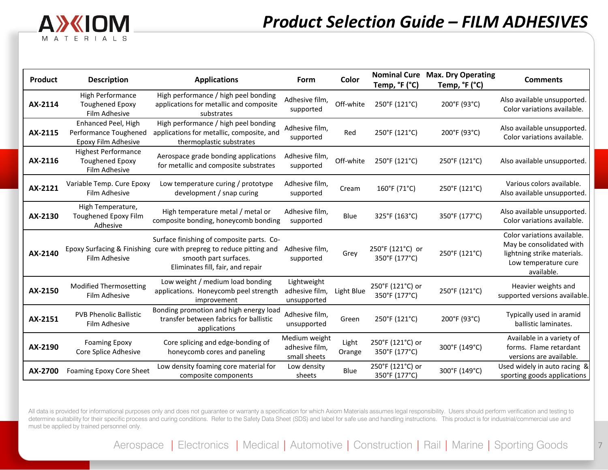

## *Product Selection Guide – FILM ADHESIVES*

| <b>Product</b> | <b>Description</b>                                                    | <b>Applications</b>                                                                                                                                                            | Form                                            | Color           | Temp, °F (°C)                     | <b>Nominal Cure Max. Dry Operating</b><br>Temp, °F (°C) | <b>Comments</b>                                                                                                              |
|----------------|-----------------------------------------------------------------------|--------------------------------------------------------------------------------------------------------------------------------------------------------------------------------|-------------------------------------------------|-----------------|-----------------------------------|---------------------------------------------------------|------------------------------------------------------------------------------------------------------------------------------|
| AX-2114        | <b>High Performance</b><br><b>Toughened Epoxy</b><br>Film Adhesive    | High performance / high peel bonding<br>applications for metallic and composite<br>substrates                                                                                  | Adhesive film,<br>supported                     | Off-white       | 250°F (121°C)                     | 200°F (93°C)                                            | Also available unsupported.<br>Color variations available.                                                                   |
| AX-2115        | Enhanced Peel, High<br>Performance Toughened<br>Epoxy Film Adhesive   | High performance / high peel bonding<br>applications for metallic, composite, and<br>thermoplastic substrates                                                                  | Adhesive film,<br>supported                     | Red             | 250°F (121°C)                     | 200°F (93°C)                                            | Also available unsupported.<br>Color variations available.                                                                   |
| AX-2116        | <b>Highest Performance</b><br><b>Toughened Epoxy</b><br>Film Adhesive | Aerospace grade bonding applications<br>for metallic and composite substrates                                                                                                  | Adhesive film,<br>supported                     | Off-white       | 250°F (121°C)                     | 250°F (121°C)                                           | Also available unsupported.                                                                                                  |
| AX-2121        | Variable Temp. Cure Epoxy<br>Film Adhesive                            | Low temperature curing / prototype<br>development / snap curing                                                                                                                | Adhesive film,<br>supported                     | Cream           | 160°F (71°C)                      | 250°F (121°C)                                           | Various colors available.<br>Also available unsupported.                                                                     |
| AX-2130        | High Temperature,<br><b>Toughened Epoxy Film</b><br>Adhesive          | High temperature metal / metal or<br>composite bonding, honeycomb bonding                                                                                                      | Adhesive film,<br>supported                     | Blue            | 325°F (163°C)                     | 350°F (177°C)                                           | Also available unsupported.<br>Color variations available.                                                                   |
| AX-2140        | Film Adhesive                                                         | Surface finishing of composite parts. Co-<br>Epoxy Surfacing & Finishing cure with prepreg to reduce pitting and<br>smooth part surfaces.<br>Eliminates fill, fair, and repair | Adhesive film,<br>supported                     | Grey            | 250°F (121°C) or<br>350°F (177°C) | 250°F (121°C)                                           | Color variations available.<br>May be consolidated with<br>lightning strike materials.<br>Low temperature cure<br>available. |
| AX-2150        | <b>Modified Thermosetting</b><br>Film Adhesive                        | Low weight / medium load bonding<br>applications. Honeycomb peel strength<br>improvement                                                                                       | Lightweight<br>adhesive film,<br>unsupported    | Light Blue      | 250°F (121°C) or<br>350°F (177°C) | 250°F (121°C)                                           | Heavier weights and<br>supported versions available.                                                                         |
| AX-2151        | <b>PVB Phenolic Ballistic</b><br>Film Adhesive                        | Bonding promotion and high energy load<br>transfer between fabrics for ballistic<br>applications                                                                               | Adhesive film,<br>unsupported                   | Green           | 250°F (121°C)                     | 200°F (93°C)                                            | Typically used in aramid<br>ballistic laminates.                                                                             |
| AX-2190        | <b>Foaming Epoxy</b><br>Core Splice Adhesive                          | Core splicing and edge-bonding of<br>honeycomb cores and paneling                                                                                                              | Medium weight<br>adhesive film,<br>small sheets | Light<br>Orange | 250°F (121°C) or<br>350°F (177°C) | 300°F (149°C)                                           | Available in a variety of<br>forms. Flame retardant<br>versions are available.                                               |
| AX-2700        | <b>Foaming Epoxy Core Sheet</b>                                       | Low density foaming core material for<br>composite components                                                                                                                  | Low density<br>sheets                           | Blue            | 250°F (121°C) or<br>350°F (177°C) | 300°F (149°C)                                           | Used widely in auto racing &<br>sporting goods applications                                                                  |

All data is provided for informational purposes only and does not guarantee or warranty a specification for which Axiom Materials assumes legal responsibility. Users should perform verification and testing to determine suitability for their specific process and curing conditions. Refer to the Safety Data Sheet (SDS) and label for safe use and handling instructions. This product is for industrial/commercial use and must be applied by trained personnel only.